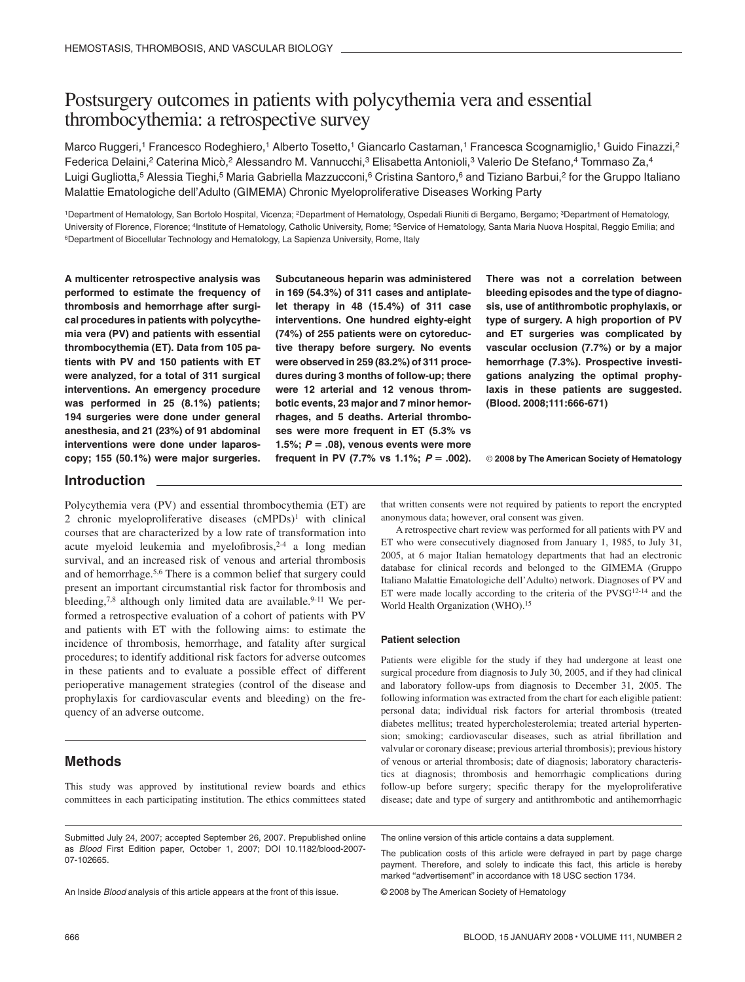# Postsurgery outcomes in patients with polycythemia vera and essential thrombocythemia: a retrospective survey

Marco Ruggeri,<sup>1</sup> Francesco Rodeghiero,<sup>1</sup> Alberto Tosetto,<sup>1</sup> Giancarlo Castaman,<sup>1</sup> Francesca Scognamiglio,<sup>1</sup> Guido Finazzi,<sup>2</sup> Federica Delaini,<sup>2</sup> Caterina Micò,<sup>2</sup> Alessandro M. Vannucchi,<sup>3</sup> Elisabetta Antonioli,<sup>3</sup> Valerio De Stefano,<sup>4</sup> Tommaso Za,<sup>4</sup> Luigi Gugliotta,<sup>5</sup> Alessia Tieghi,<sup>5</sup> Maria Gabriella Mazzucconi,<sup>6</sup> Cristina Santoro,<sup>6</sup> and Tiziano Barbui,<sup>2</sup> for the Gruppo Italiano Malattie Ematologiche dell'Adulto (GIMEMA) Chronic Myeloproliferative Diseases Working Party

1Department of Hematology, San Bortolo Hospital, Vicenza; 2Department of Hematology, Ospedali Riuniti di Bergamo, Bergamo; 3Department of Hematology, University of Florence, Florence; 4Institute of Hematology, Catholic University, Rome; 5Service of Hematology, Santa Maria Nuova Hospital, Reggio Emilia; and 6Department of Biocellular Technology and Hematology, La Sapienza University, Rome, Italy

**A multicenter retrospective analysis was performed to estimate the frequency of thrombosis and hemorrhage after surgical procedures in patients with polycythemia vera (PV) and patients with essential thrombocythemia (ET). Data from 105 patients with PV and 150 patients with ET were analyzed, for a total of 311 surgical interventions. An emergency procedure was performed in 25 (8.1%) patients; 194 surgeries were done under general anesthesia, and 21 (23%) of 91 abdominal interventions were done under laparoscopy; 155 (50.1%) were major surgeries.**

**Subcutaneous heparin was administered in 169 (54.3%) of 311 cases and antiplatelet therapy in 48 (15.4%) of 311 case interventions. One hundred eighty-eight (74%) of 255 patients were on cytoreductive therapy before surgery. No events were observed in 259 (83.2%) of 311 procedures during 3 months of follow-up; there were 12 arterial and 12 venous thrombotic events, 23 major and 7 minor hemorrhages, and 5 deaths. Arterial thromboses were more frequent in ET (5.3% vs** 1.5%;  $P = .08$ ), venous events were more frequent in PV (7.7% vs 1.1%;  $P = .002$ ). **There was not a correlation between bleeding episodes and the type of diagnosis, use of antithrombotic prophylaxis, or type of surgery. A high proportion of PV and ET surgeries was complicated by vascular occlusion (7.7%) or by a major hemorrhage (7.3%). Prospective investigations analyzing the optimal prophylaxis in these patients are suggested. (Blood. 2008;111:666-671)**

© **2008 by The American Society of Hematology**

# **Introduction**

Polycythemia vera (PV) and essential thrombocythemia (ET) are 2 chronic myeloproliferative diseases  $(cMPDs)^1$  with clinical courses that are characterized by a low rate of transformation into acute myeloid leukemia and myelofibrosis, $2-4$  a long median survival, and an increased risk of venous and arterial thrombosis and of hemorrhage.5,6 There is a common belief that surgery could present an important circumstantial risk factor for thrombosis and bleeding,<sup>7,8</sup> although only limited data are available.<sup>9-11</sup> We performed a retrospective evaluation of a cohort of patients with PV and patients with ET with the following aims: to estimate the incidence of thrombosis, hemorrhage, and fatality after surgical procedures; to identify additional risk factors for adverse outcomes in these patients and to evaluate a possible effect of different perioperative management strategies (control of the disease and prophylaxis for cardiovascular events and bleeding) on the frequency of an adverse outcome.

# **Methods**

This study was approved by institutional review boards and ethics committees in each participating institution. The ethics committees stated

Submitted July 24, 2007; accepted September 26, 2007. Prepublished online as *Blood* First Edition paper, October 1, 2007; DOI 10.1182/blood-2007- 07-102665.

An Inside *Blood* analysis of this article appears at the front of this issue.

that written consents were not required by patients to report the encrypted anonymous data; however, oral consent was given.

A retrospective chart review was performed for all patients with PV and ET who were consecutively diagnosed from January 1, 1985, to July 31, 2005, at 6 major Italian hematology departments that had an electronic database for clinical records and belonged to the GIMEMA (Gruppo Italiano Malattie Ematologiche dell'Adulto) network. Diagnoses of PV and ET were made locally according to the criteria of the PVSG<sup>12-14</sup> and the World Health Organization (WHO).15

### **Patient selection**

Patients were eligible for the study if they had undergone at least one surgical procedure from diagnosis to July 30, 2005, and if they had clinical and laboratory follow-ups from diagnosis to December 31, 2005. The following information was extracted from the chart for each eligible patient: personal data; individual risk factors for arterial thrombosis (treated diabetes mellitus; treated hypercholesterolemia; treated arterial hypertension; smoking; cardiovascular diseases, such as atrial fibrillation and valvular or coronary disease; previous arterial thrombosis); previous history of venous or arterial thrombosis; date of diagnosis; laboratory characteristics at diagnosis; thrombosis and hemorrhagic complications during follow-up before surgery; specific therapy for the myeloproliferative disease; date and type of surgery and antithrombotic and antihemorrhagic

The online version of this article contains a data supplement.

The publication costs of this article were defrayed in part by page charge payment. Therefore, and solely to indicate this fact, this article is hereby marked "advertisement" in accordance with 18 USC section 1734.

© 2008 by The American Society of Hematology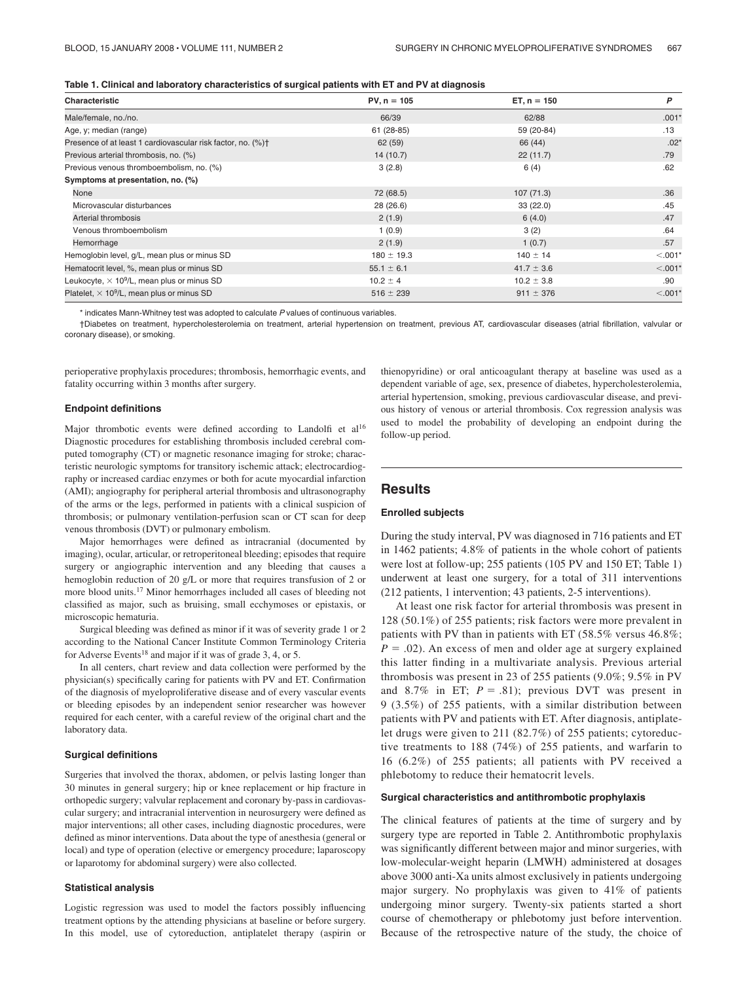| Table 1. Clinical and laboratory characteristics of surgical patients with ET and PV at diagnosis |  |  |  |
|---------------------------------------------------------------------------------------------------|--|--|--|
|---------------------------------------------------------------------------------------------------|--|--|--|

| Characteristic                                                | $PV, n = 105$  | $ET, n = 150$  | P          |  |
|---------------------------------------------------------------|----------------|----------------|------------|--|
| Male/female, no./no.                                          | 66/39          | 62/88          | $.001*$    |  |
| Age, y; median (range)                                        | $61(28-85)$    | 59 (20-84)     | .13        |  |
| Presence of at least 1 cardiovascular risk factor, no. (%)+   | 62(59)         | 66 (44)        | $.02*$     |  |
| Previous arterial thrombosis, no. (%)                         | 14(10.7)       | 22(11.7)       | .79        |  |
| Previous venous thromboembolism, no. (%)                      | 3(2.8)         | 6(4)           | .62        |  |
| Symptoms at presentation, no. (%)                             |                |                |            |  |
| None                                                          | 72 (68.5)      | 107(71.3)      | .36        |  |
| Microvascular disturbances                                    | 28(26.6)       | 33(22.0)       | .45        |  |
| Arterial thrombosis                                           | 2(1.9)         | 6(4.0)         | .47        |  |
| Venous thromboembolism                                        | 1(0.9)         | 3(2)           | .64        |  |
| Hemorrhage                                                    | 2(1.9)         | 1(0.7)         | .57        |  |
| Hemoglobin level, g/L, mean plus or minus SD                  | $180 \pm 19.3$ | $140 \pm 14$   | $< 0.001*$ |  |
| Hematocrit level, %, mean plus or minus SD                    | $55.1 \pm 6.1$ | $41.7 \pm 3.6$ | $< 0.001*$ |  |
| Leukocyte, $\times$ 10 <sup>9</sup> /L, mean plus or minus SD | $10.2 \pm 4$   | $10.2 \pm 3.8$ | .90        |  |
| Platelet, $\times$ 10 <sup>9</sup> /L, mean plus or minus SD  | $516 \pm 239$  | $911 \pm 376$  | $< 0.001*$ |  |

\* indicates Mann-Whitney test was adopted to calculate *P* values of continuous variables.

†Diabetes on treatment, hypercholesterolemia on treatment, arterial hypertension on treatment, previous AT, cardiovascular diseases (atrial fibrillation, valvular or coronary disease), or smoking.

perioperative prophylaxis procedures; thrombosis, hemorrhagic events, and fatality occurring within 3 months after surgery.

#### **Endpoint definitions**

Major thrombotic events were defined according to Landolfi et al<sup>16</sup> Diagnostic procedures for establishing thrombosis included cerebral computed tomography (CT) or magnetic resonance imaging for stroke; characteristic neurologic symptoms for transitory ischemic attack; electrocardiography or increased cardiac enzymes or both for acute myocardial infarction (AMI); angiography for peripheral arterial thrombosis and ultrasonography of the arms or the legs, performed in patients with a clinical suspicion of thrombosis; or pulmonary ventilation-perfusion scan or CT scan for deep venous thrombosis (DVT) or pulmonary embolism.

Major hemorrhages were defined as intracranial (documented by imaging), ocular, articular, or retroperitoneal bleeding; episodes that require surgery or angiographic intervention and any bleeding that causes a hemoglobin reduction of 20 g/L or more that requires transfusion of 2 or more blood units.17 Minor hemorrhages included all cases of bleeding not classified as major, such as bruising, small ecchymoses or epistaxis, or microscopic hematuria.

Surgical bleeding was defined as minor if it was of severity grade 1 or 2 according to the National Cancer Institute Common Terminology Criteria for Adverse Events<sup>18</sup> and major if it was of grade  $3, 4$ , or  $5$ .

In all centers, chart review and data collection were performed by the physician(s) specifically caring for patients with PV and ET. Confirmation of the diagnosis of myeloproliferative disease and of every vascular events or bleeding episodes by an independent senior researcher was however required for each center, with a careful review of the original chart and the laboratory data.

### **Surgical definitions**

Surgeries that involved the thorax, abdomen, or pelvis lasting longer than 30 minutes in general surgery; hip or knee replacement or hip fracture in orthopedic surgery; valvular replacement and coronary by-pass in cardiovascular surgery; and intracranial intervention in neurosurgery were defined as major interventions; all other cases, including diagnostic procedures, were defined as minor interventions. Data about the type of anesthesia (general or local) and type of operation (elective or emergency procedure; laparoscopy or laparotomy for abdominal surgery) were also collected.

#### **Statistical analysis**

Logistic regression was used to model the factors possibly influencing treatment options by the attending physicians at baseline or before surgery. In this model, use of cytoreduction, antiplatelet therapy (aspirin or thienopyridine) or oral anticoagulant therapy at baseline was used as a dependent variable of age, sex, presence of diabetes, hypercholesterolemia, arterial hypertension, smoking, previous cardiovascular disease, and previous history of venous or arterial thrombosis. Cox regression analysis was used to model the probability of developing an endpoint during the follow-up period.

### **Results**

#### **Enrolled subjects**

During the study interval, PV was diagnosed in 716 patients and ET in 1462 patients; 4.8% of patients in the whole cohort of patients were lost at follow-up; 255 patients (105 PV and 150 ET; Table 1) underwent at least one surgery, for a total of 311 interventions (212 patients, 1 intervention; 43 patients, 2-5 interventions).

At least one risk factor for arterial thrombosis was present in 128 (50.1%) of 255 patients; risk factors were more prevalent in patients with PV than in patients with ET (58.5% versus 46.8%;  $P = .02$ ). An excess of men and older age at surgery explained this latter finding in a multivariate analysis. Previous arterial thrombosis was present in 23 of 255 patients (9.0%; 9.5% in PV and 8.7% in ET;  $P = .81$ ; previous DVT was present in 9 (3.5%) of 255 patients, with a similar distribution between patients with PV and patients with ET. After diagnosis, antiplatelet drugs were given to 211 (82.7%) of 255 patients; cytoreductive treatments to 188 (74%) of 255 patients, and warfarin to 16 (6.2%) of 255 patients; all patients with PV received a phlebotomy to reduce their hematocrit levels.

### **Surgical characteristics and antithrombotic prophylaxis**

The clinical features of patients at the time of surgery and by surgery type are reported in Table 2. Antithrombotic prophylaxis was significantly different between major and minor surgeries, with low-molecular-weight heparin (LMWH) administered at dosages above 3000 anti-Xa units almost exclusively in patients undergoing major surgery. No prophylaxis was given to 41% of patients undergoing minor surgery. Twenty-six patients started a short course of chemotherapy or phlebotomy just before intervention. Because of the retrospective nature of the study, the choice of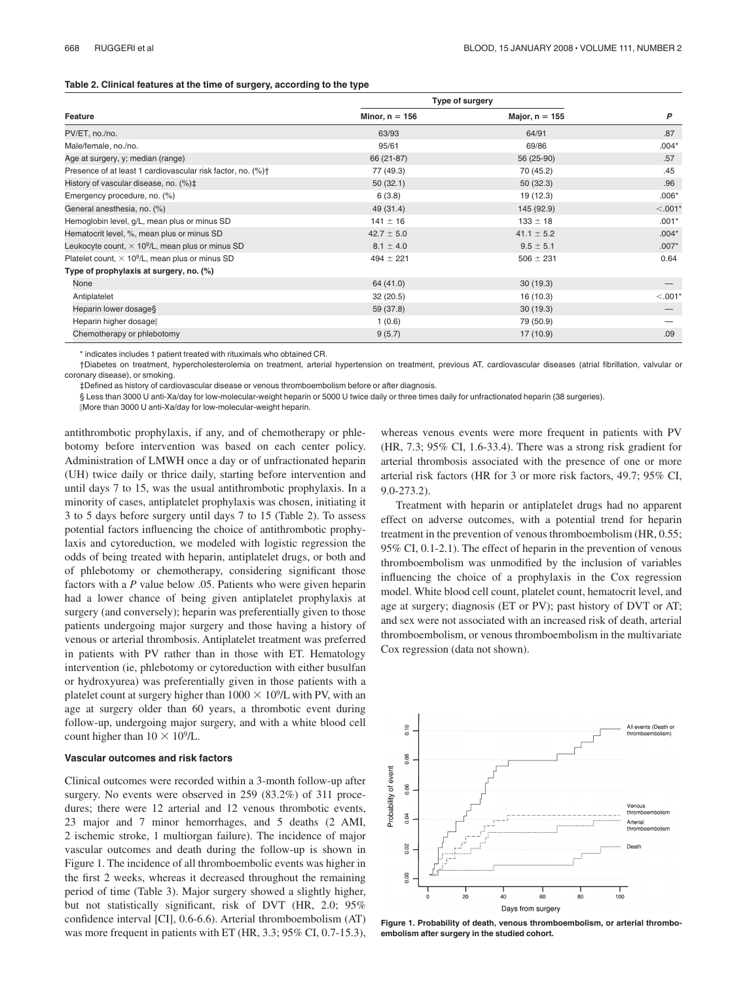#### **Table 2. Clinical features at the time of surgery, according to the type**

|                                                                         |                  | <b>Type of surgery</b> |           |
|-------------------------------------------------------------------------|------------------|------------------------|-----------|
| Feature                                                                 | Minor, $n = 156$ | Major, $n = 155$       | P         |
| PV/ET, no./no.                                                          | 63/93            | 64/91                  | .87       |
| Male/female, no./no.                                                    | 95/61            | 69/86                  | $.004*$   |
| Age at surgery, y; median (range)                                       | 66 (21-87)       | 56 (25-90)             | .57       |
| Presence of at least 1 cardiovascular risk factor, no. (%) <sup>†</sup> | 77 (49.3)        | 70 (45.2)              | .45       |
| History of vascular disease, no. (%)‡                                   | 50(32.1)         | 50(32.3)               | .96       |
| Emergency procedure, no. (%)                                            | 6(3.8)           | 19 (12.3)              | $.006*$   |
| General anesthesia, no. (%)                                             | 49 (31.4)        | 145 (92.9)             | $< .001*$ |
| Hemoglobin level, g/L, mean plus or minus SD                            | $141 \pm 16$     | $133 \pm 18$           | $.001*$   |
| Hematocrit level, %, mean plus or minus SD                              | $42.7 \pm 5.0$   | $41.1 \pm 5.2$         | $.004*$   |
| Leukocyte count, $\times$ 10 <sup>9</sup> /L, mean plus or minus SD     | $8.1 \pm 4.0$    | $9.5 \pm 5.1$          | $.007*$   |
| Platelet count, $\times$ 10 <sup>9</sup> /L, mean plus or minus SD      | $494 \pm 221$    | $506 \pm 231$          | 0.64      |
| Type of prophylaxis at surgery, no. (%)                                 |                  |                        |           |
| None                                                                    | 64 (41.0)        | 30(19.3)               |           |
| Antiplatelet                                                            | 32(20.5)         | 16(10.3)               | $< .001*$ |
| Heparin lower dosage§                                                   | 59 (37.8)        | 30(19.3)               |           |
| Heparin higher dosage                                                   | 1(0.6)           | 79 (50.9)              |           |
| Chemotherapy or phlebotomy                                              | 9(5.7)           | 17(10.9)               | .09       |

\* indicates includes 1 patient treated with rituximals who obtained CR.

†Diabetes on treatment, hypercholesterolemia on treatment, arterial hypertension on treatment, previous AT, cardiovascular diseases (atrial fibrillation, valvular or coronary disease), or smoking.

‡Defined as history of cardiovascular disease or venous thromboembolism before or after diagnosis.

§ Less than 3000 U anti-Xa/day for low-molecular-weight heparin or 5000 U twice daily or three times daily for unfractionated heparin (38 surgeries).

-More than 3000 U anti-Xa/day for low-molecular-weight heparin.

antithrombotic prophylaxis, if any, and of chemotherapy or phlebotomy before intervention was based on each center policy. Administration of LMWH once a day or of unfractionated heparin (UH) twice daily or thrice daily, starting before intervention and until days 7 to 15, was the usual antithrombotic prophylaxis. In a minority of cases, antiplatelet prophylaxis was chosen, initiating it 3 to 5 days before surgery until days 7 to 15 (Table 2). To assess potential factors influencing the choice of antithrombotic prophylaxis and cytoreduction, we modeled with logistic regression the odds of being treated with heparin, antiplatelet drugs, or both and of phlebotomy or chemotherapy, considering significant those factors with a *P* value below .05. Patients who were given heparin had a lower chance of being given antiplatelet prophylaxis at surgery (and conversely); heparin was preferentially given to those patients undergoing major surgery and those having a history of venous or arterial thrombosis. Antiplatelet treatment was preferred in patients with PV rather than in those with ET. Hematology intervention (ie, phlebotomy or cytoreduction with either busulfan or hydroxyurea) was preferentially given in those patients with a platelet count at surgery higher than  $1000 \times 10^9$ /L with PV, with an age at surgery older than 60 years, a thrombotic event during follow-up, undergoing major surgery, and with a white blood cell count higher than  $10 \times 10^9$ /L.

#### **Vascular outcomes and risk factors**

Clinical outcomes were recorded within a 3-month follow-up after surgery. No events were observed in 259 (83.2%) of 311 procedures; there were 12 arterial and 12 venous thrombotic events, 23 major and 7 minor hemorrhages, and 5 deaths (2 AMI, 2 ischemic stroke, 1 multiorgan failure). The incidence of major vascular outcomes and death during the follow-up is shown in Figure 1. The incidence of all thromboembolic events was higher in the first 2 weeks, whereas it decreased throughout the remaining period of time (Table 3). Major surgery showed a slightly higher, but not statistically significant, risk of DVT (HR, 2.0; 95% confidence interval [CI], 0.6-6.6). Arterial thromboembolism (AT) was more frequent in patients with ET (HR, 3.3; 95% CI, 0.7-15.3), whereas venous events were more frequent in patients with PV (HR, 7.3; 95% CI, 1.6-33.4). There was a strong risk gradient for arterial thrombosis associated with the presence of one or more arterial risk factors (HR for 3 or more risk factors, 49.7; 95% CI, 9.0-273.2).

Treatment with heparin or antiplatelet drugs had no apparent effect on adverse outcomes, with a potential trend for heparin treatment in the prevention of venous thromboembolism (HR, 0.55; 95% CI, 0.1-2.1). The effect of heparin in the prevention of venous thromboembolism was unmodified by the inclusion of variables influencing the choice of a prophylaxis in the Cox regression model. White blood cell count, platelet count, hematocrit level, and age at surgery; diagnosis (ET or PV); past history of DVT or AT; and sex were not associated with an increased risk of death, arterial thromboembolism, or venous thromboembolism in the multivariate Cox regression (data not shown).



**Figure 1. Probability of death, venous thromboembolism, or arterial thromboembolism after surgery in the studied cohort.**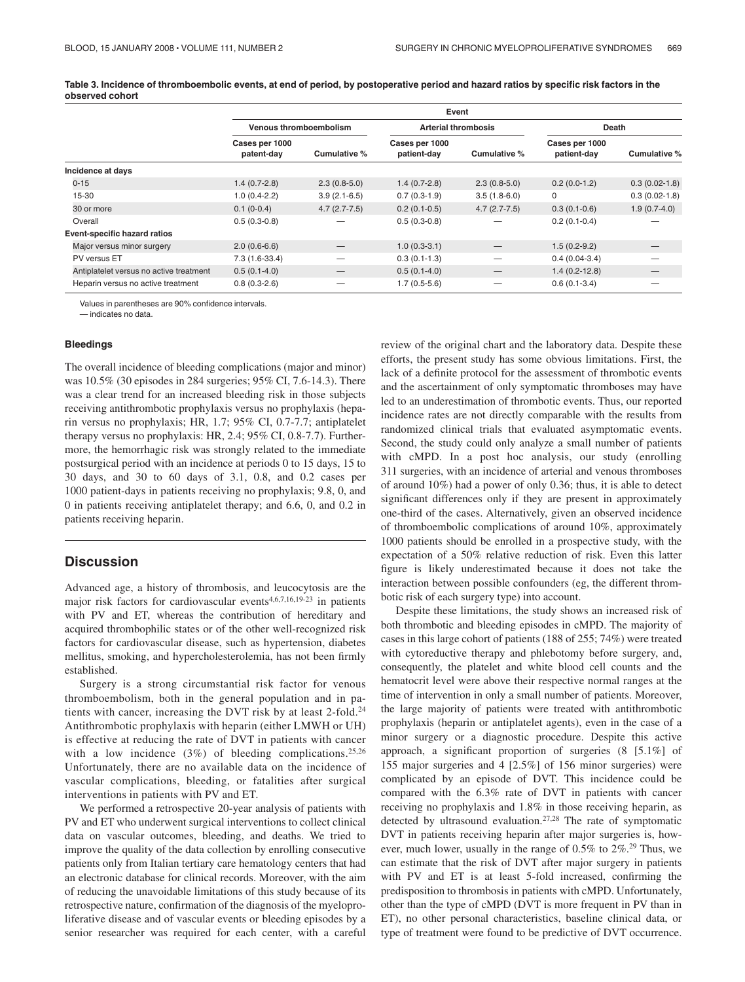**Table 3. Incidence of thromboembolic events, at end of period, by postoperative period and hazard ratios by specific risk factors in the observed cohort**

|                                         | Event                         |                |                               |                |                               |                 |
|-----------------------------------------|-------------------------------|----------------|-------------------------------|----------------|-------------------------------|-----------------|
|                                         | <b>Venous thromboembolism</b> |                | <b>Arterial thrombosis</b>    |                | Death                         |                 |
|                                         | Cases per 1000<br>patent-day  | Cumulative %   | Cases per 1000<br>patient-day | Cumulative %   | Cases per 1000<br>patient-day | Cumulative %    |
| Incidence at days                       |                               |                |                               |                |                               |                 |
| $0 - 15$                                | $1.4(0.7-2.8)$                | $2.3(0.8-5.0)$ | $1.4(0.7-2.8)$                | $2.3(0.8-5.0)$ | $0.2(0.0-1.2)$                | $0.3(0.02-1.8)$ |
| 15-30                                   | $1.0(0.4-2.2)$                | $3.9(2.1-6.5)$ | $0.7(0.3-1.9)$                | $3.5(1.8-6.0)$ | 0                             | $0.3(0.02-1.8)$ |
| 30 or more                              | $0.1(0-0.4)$                  | $4.7(2.7-7.5)$ | $0.2(0.1-0.5)$                | $4.7(2.7-7.5)$ | $0.3(0.1-0.6)$                | $1.9(0.7-4.0)$  |
| Overall                                 | $0.5(0.3-0.8)$                |                | $0.5(0.3-0.8)$                |                | $0.2(0.1-0.4)$                |                 |
| Event-specific hazard ratios            |                               |                |                               |                |                               |                 |
| Major versus minor surgery              | $2.0(0.6-6.6)$                |                | $1.0(0.3-3.1)$                |                | $1.5(0.2-9.2)$                |                 |
| PV versus ET                            | 7.3 (1.6-33.4)                |                | $0.3(0.1-1.3)$                | —              | $0.4(0.04-3.4)$               |                 |
| Antiplatelet versus no active treatment | $0.5(0.1-4.0)$                |                | $0.5(0.1-4.0)$                |                | $1.4(0.2-12.8)$               |                 |
| Heparin versus no active treatment      | $0.8(0.3-2.6)$                |                | $1.7(0.5-5.6)$                |                | $0.6(0.1-3.4)$                |                 |

Values in parentheses are 90% confidence intervals.

— indicates no data.

### **Bleedings**

The overall incidence of bleeding complications (major and minor) was 10.5% (30 episodes in 284 surgeries; 95% CI, 7.6-14.3). There was a clear trend for an increased bleeding risk in those subjects receiving antithrombotic prophylaxis versus no prophylaxis (heparin versus no prophylaxis; HR, 1.7; 95% CI, 0.7-7.7; antiplatelet therapy versus no prophylaxis: HR, 2.4; 95% CI, 0.8-7.7). Furthermore, the hemorrhagic risk was strongly related to the immediate postsurgical period with an incidence at periods 0 to 15 days, 15 to 30 days, and 30 to 60 days of 3.1, 0.8, and 0.2 cases per 1000 patient-days in patients receiving no prophylaxis; 9.8, 0, and 0 in patients receiving antiplatelet therapy; and 6.6, 0, and 0.2 in patients receiving heparin.

# **Discussion**

Advanced age, a history of thrombosis, and leucocytosis are the major risk factors for cardiovascular events<sup>4,6,7,16,19-23</sup> in patients with PV and ET, whereas the contribution of hereditary and acquired thrombophilic states or of the other well-recognized risk factors for cardiovascular disease, such as hypertension, diabetes mellitus, smoking, and hypercholesterolemia, has not been firmly established.

Surgery is a strong circumstantial risk factor for venous thromboembolism, both in the general population and in patients with cancer, increasing the DVT risk by at least 2-fold.24 Antithrombotic prophylaxis with heparin (either LMWH or UH) is effective at reducing the rate of DVT in patients with cancer with a low incidence  $(3\%)$  of bleeding complications.<sup>25,26</sup> Unfortunately, there are no available data on the incidence of vascular complications, bleeding, or fatalities after surgical interventions in patients with PV and ET.

We performed a retrospective 20-year analysis of patients with PV and ET who underwent surgical interventions to collect clinical data on vascular outcomes, bleeding, and deaths. We tried to improve the quality of the data collection by enrolling consecutive patients only from Italian tertiary care hematology centers that had an electronic database for clinical records. Moreover, with the aim of reducing the unavoidable limitations of this study because of its retrospective nature, confirmation of the diagnosis of the myeloproliferative disease and of vascular events or bleeding episodes by a senior researcher was required for each center, with a careful review of the original chart and the laboratory data. Despite these efforts, the present study has some obvious limitations. First, the lack of a definite protocol for the assessment of thrombotic events and the ascertainment of only symptomatic thromboses may have led to an underestimation of thrombotic events. Thus, our reported incidence rates are not directly comparable with the results from randomized clinical trials that evaluated asymptomatic events. Second, the study could only analyze a small number of patients with cMPD. In a post hoc analysis, our study (enrolling 311 surgeries, with an incidence of arterial and venous thromboses of around 10%) had a power of only 0.36; thus, it is able to detect significant differences only if they are present in approximately one-third of the cases. Alternatively, given an observed incidence of thromboembolic complications of around 10%, approximately 1000 patients should be enrolled in a prospective study, with the expectation of a 50% relative reduction of risk. Even this latter figure is likely underestimated because it does not take the interaction between possible confounders (eg, the different thrombotic risk of each surgery type) into account.

Despite these limitations, the study shows an increased risk of both thrombotic and bleeding episodes in cMPD. The majority of cases in this large cohort of patients (188 of 255; 74%) were treated with cytoreductive therapy and phlebotomy before surgery, and, consequently, the platelet and white blood cell counts and the hematocrit level were above their respective normal ranges at the time of intervention in only a small number of patients. Moreover, the large majority of patients were treated with antithrombotic prophylaxis (heparin or antiplatelet agents), even in the case of a minor surgery or a diagnostic procedure. Despite this active approach, a significant proportion of surgeries (8 [5.1%] of 155 major surgeries and 4 [2.5%] of 156 minor surgeries) were complicated by an episode of DVT. This incidence could be compared with the 6.3% rate of DVT in patients with cancer receiving no prophylaxis and 1.8% in those receiving heparin, as detected by ultrasound evaluation.27,28 The rate of symptomatic DVT in patients receiving heparin after major surgeries is, however, much lower, usually in the range of 0.5% to 2%.29 Thus, we can estimate that the risk of DVT after major surgery in patients with PV and ET is at least 5-fold increased, confirming the predisposition to thrombosis in patients with cMPD. Unfortunately, other than the type of cMPD (DVT is more frequent in PV than in ET), no other personal characteristics, baseline clinical data, or type of treatment were found to be predictive of DVT occurrence.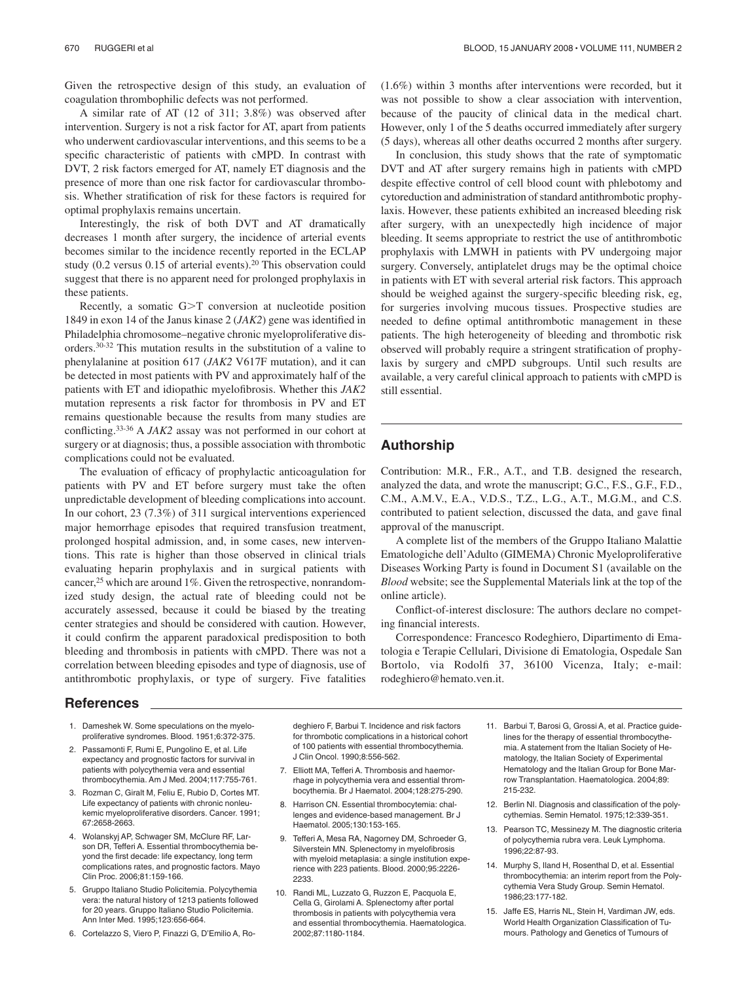Given the retrospective design of this study, an evaluation of coagulation thrombophilic defects was not performed.

A similar rate of AT (12 of 311; 3.8%) was observed after intervention. Surgery is not a risk factor for AT, apart from patients who underwent cardiovascular interventions, and this seems to be a specific characteristic of patients with cMPD. In contrast with DVT, 2 risk factors emerged for AT, namely ET diagnosis and the presence of more than one risk factor for cardiovascular thrombosis. Whether stratification of risk for these factors is required for optimal prophylaxis remains uncertain.

Interestingly, the risk of both DVT and AT dramatically decreases 1 month after surgery, the incidence of arterial events becomes similar to the incidence recently reported in the ECLAP study (0.2 versus 0.15 of arterial events).<sup>20</sup> This observation could suggest that there is no apparent need for prolonged prophylaxis in these patients.

Recently, a somatic  $G>T$  conversion at nucleotide position 1849 in exon 14 of the Janus kinase 2 (*JAK2*) gene was identified in Philadelphia chromosome–negative chronic myeloproliferative disorders.30-32 This mutation results in the substitution of a valine to phenylalanine at position 617 (*JAK2* V617F mutation), and it can be detected in most patients with PV and approximately half of the patients with ET and idiopathic myelofibrosis. Whether this *JAK2* mutation represents a risk factor for thrombosis in PV and ET remains questionable because the results from many studies are conflicting.33-36 A *JAK2* assay was not performed in our cohort at surgery or at diagnosis; thus, a possible association with thrombotic complications could not be evaluated.

The evaluation of efficacy of prophylactic anticoagulation for patients with PV and ET before surgery must take the often unpredictable development of bleeding complications into account. In our cohort, 23 (7.3%) of 311 surgical interventions experienced major hemorrhage episodes that required transfusion treatment, prolonged hospital admission, and, in some cases, new interventions. This rate is higher than those observed in clinical trials evaluating heparin prophylaxis and in surgical patients with cancer,<sup>25</sup> which are around 1%. Given the retrospective, nonrandomized study design, the actual rate of bleeding could not be accurately assessed, because it could be biased by the treating center strategies and should be considered with caution. However, it could confirm the apparent paradoxical predisposition to both bleeding and thrombosis in patients with cMPD. There was not a correlation between bleeding episodes and type of diagnosis, use of antithrombotic prophylaxis, or type of surgery. Five fatalities

## (1.6%) within 3 months after interventions were recorded, but it was not possible to show a clear association with intervention, because of the paucity of clinical data in the medical chart. However, only 1 of the 5 deaths occurred immediately after surgery (5 days), whereas all other deaths occurred 2 months after surgery.

In conclusion, this study shows that the rate of symptomatic DVT and AT after surgery remains high in patients with cMPD despite effective control of cell blood count with phlebotomy and cytoreduction and administration of standard antithrombotic prophylaxis. However, these patients exhibited an increased bleeding risk after surgery, with an unexpectedly high incidence of major bleeding. It seems appropriate to restrict the use of antithrombotic prophylaxis with LMWH in patients with PV undergoing major surgery. Conversely, antiplatelet drugs may be the optimal choice in patients with ET with several arterial risk factors. This approach should be weighed against the surgery-specific bleeding risk, eg, for surgeries involving mucous tissues. Prospective studies are needed to define optimal antithrombotic management in these patients. The high heterogeneity of bleeding and thrombotic risk observed will probably require a stringent stratification of prophylaxis by surgery and cMPD subgroups. Until such results are available, a very careful clinical approach to patients with cMPD is still essential.

# **Authorship**

Contribution: M.R., F.R., A.T., and T.B. designed the research, analyzed the data, and wrote the manuscript; G.C., F.S., G.F., F.D., C.M., A.M.V., E.A., V.D.S., T.Z., L.G., A.T., M.G.M., and C.S. contributed to patient selection, discussed the data, and gave final approval of the manuscript.

A complete list of the members of the Gruppo Italiano Malattie Ematologiche dell'Adulto (GIMEMA) Chronic Myeloproliferative Diseases Working Party is found in Document S1 (available on the *Blood* website; see the Supplemental Materials link at the top of the online article).

Conflict-of-interest disclosure: The authors declare no competing financial interests.

Correspondence: Francesco Rodeghiero, Dipartimento di Ematologia e Terapie Cellulari, Divisione di Ematologia, Ospedale San Bortolo, via Rodolfi 37, 36100 Vicenza, Italy; e-mail: rodeghiero@hemato.ven.it.

## **References**

- 1. Dameshek W. Some speculations on the myeloproliferative syndromes. Blood. 1951;6:372-375.
- 2. Passamonti F, Rumi E, Pungolino E, et al. Life expectancy and prognostic factors for survival in patients with polycythemia vera and essential thrombocythemia. Am J Med. 2004;117:755-761.
- 3. Rozman C, Giralt M, Feliu E, Rubio D, Cortes MT. Life expectancy of patients with chronic nonleukemic myeloproliferative disorders. Cancer. 1991; 67:2658-2663.
- 4. Wolanskyj AP, Schwager SM, McClure RF, Larson DR, Tefferi A. Essential thrombocythemia beyond the first decade: life expectancy, long term complications rates, and prognostic factors. Mayo Clin Proc. 2006;81:159-166.
- 5. Gruppo Italiano Studio Policitemia. Polycythemia vera: the natural history of 1213 patients followed for 20 years. Gruppo Italiano Studio Policitemia. Ann Inter Med. 1995;123:656-664.
- 6. Cortelazzo S, Viero P, Finazzi G, D'Emilio A, Ro-

deghiero F, Barbui T. Incidence and risk factors for thrombotic complications in a historical cohort of 100 patients with essential thrombocythemia. J Clin Oncol. 1990;8:556-562.

- 7. Elliott MA, Tefferi A. Thrombosis and haemorrhage in polycythemia vera and essential thrombocythemia. Br J Haematol. 2004;128:275-290.
- 8. Harrison CN. Essential thrombocytemia: challenges and evidence-based management. Br J Haematol. 2005;130:153-165.
- 9. Tefferi A, Mesa RA, Nagorney DM, Schroeder G, Silverstein MN. Splenectomy in myelofibrosis with myeloid metaplasia: a single institution experience with 223 patients. Blood. 2000;95:2226- 2233.
- 10. Randi ML, Luzzato G, Ruzzon E, Pacquola E, Cella G, Girolami A. Splenectomy after portal thrombosis in patients with polycythemia vera and essential thrombocythemia. Haematologica. 2002;87:1180-1184.
- 11. Barbui T, Barosi G, Grossi A, et al. Practice guidelines for the therapy of essential thrombocythemia. A statement from the Italian Society of Hematology, the Italian Society of Experimental Hematology and the Italian Group for Bone Marrow Transplantation. Haematologica. 2004;89: 215-232.
- 12. Berlin NI. Diagnosis and classification of the polycythemias. Semin Hematol. 1975;12:339-351.
- 13. Pearson TC, Messinezy M. The diagnostic criteria of polycythemia rubra vera. Leuk Lymphoma. 1996;22:87-93.
- 14. Murphy S, Iland H, Rosenthal D, et al. Essential thrombocythemia: an interim report from the Polycythemia Vera Study Group. Semin Hematol. 1986;23:177-182.
- 15. Jaffe ES, Harris NL, Stein H, Vardiman JW, eds. World Health Organization Classification of Tumours. Pathology and Genetics of Tumours of